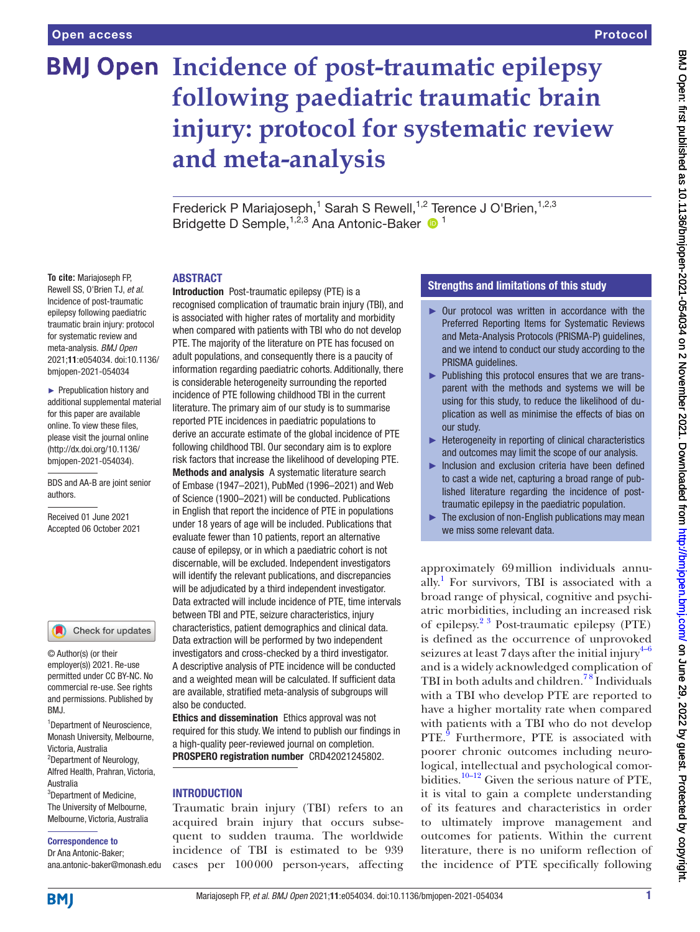# **BMJ Open Incidence of post-traumatic epilepsy following paediatric traumatic brain injury: protocol for systematic review and meta-analysis**

Frederick P Mariajoseph,<sup>1</sup> Sarah S Rewell,<sup>1,2</sup> Terence J O'Brien,<sup>1,2,3</sup> Bridgette D Semple, <sup>1,2,3</sup> Ana Antonic-Baker <sup>1</sup>

#### ABSTRACT

**To cite:** Mariajoseph FP, Rewell SS, O'Brien TJ, *et al*. Incidence of post-traumatic epilepsy following paediatric traumatic brain injury: protocol for systematic review and meta-analysis. *BMJ Open* 2021;11:e054034. doi:10.1136/ bmjopen-2021-054034

► Prepublication history and additional supplemental material for this paper are available online. To view these files, please visit the journal online [\(http://dx.doi.org/10.1136/](http://dx.doi.org/10.1136/bmjopen-2021-054034) [bmjopen-2021-054034](http://dx.doi.org/10.1136/bmjopen-2021-054034)).

BDS and AA-B are joint senior authors.

Received 01 June 2021 Accepted 06 October 2021

#### Check for updates

© Author(s) (or their employer(s)) 2021. Re-use permitted under CC BY-NC. No commercial re-use. See rights and permissions. Published by BMJ.

1 Department of Neuroscience, Monash University, Melbourne, Victoria, Australia <sup>2</sup>Department of Neurology, Alfred Health, Prahran, Victoria, Australia <sup>3</sup>Department of Medicine, The University of Melbourne, Melbourne, Victoria, Australia

#### Correspondence to

Dr Ana Antonic-Baker; ana.antonic-baker@monash.edu Introduction Post-traumatic epilepsy (PTE) is a recognised complication of traumatic brain injury (TBI), and is associated with higher rates of mortality and morbidity when compared with patients with TBI who do not develop PTE. The majority of the literature on PTE has focused on adult populations, and consequently there is a paucity of information regarding paediatric cohorts. Additionally, there is considerable heterogeneity surrounding the reported incidence of PTE following childhood TBI in the current literature. The primary aim of our study is to summarise reported PTE incidences in paediatric populations to derive an accurate estimate of the global incidence of PTE following childhood TBI. Our secondary aim is to explore risk factors that increase the likelihood of developing PTE. Methods and analysis A systematic literature search of Embase (1947–2021), PubMed (1996–2021) and Web of Science (1900–2021) will be conducted. Publications in English that report the incidence of PTE in populations under 18 years of age will be included. Publications that evaluate fewer than 10 patients, report an alternative cause of epilepsy, or in which a paediatric cohort is not discernable, will be excluded. Independent investigators will identify the relevant publications, and discrepancies will be adjudicated by a third independent investigator. Data extracted will include incidence of PTE, time intervals between TBI and PTE, seizure characteristics, injury characteristics, patient demographics and clinical data. Data extraction will be performed by two independent investigators and cross-checked by a third investigator. A descriptive analysis of PTE incidence will be conducted and a weighted mean will be calculated. If sufficient data are available, stratified meta-analysis of subgroups will also be conducted.

Ethics and dissemination Ethics approval was not required for this study. We intend to publish our findings in a high-quality peer-reviewed journal on completion. PROSPERO registration number CRD42021245802.

## **INTRODUCTION**

Traumatic brain injury (TBI) refers to an acquired brain injury that occurs subsequent to sudden trauma. The worldwide incidence of TBI is estimated to be 939 cases per 100000 person-years, affecting

## Strengths and limitations of this study

- ► Our protocol was written in accordance with the Preferred Reporting Items for Systematic Reviews and Meta-Analysis Protocols (PRISMA-P) guidelines, and we intend to conduct our study according to the PRISMA guidelines.
- ► Publishing this protocol ensures that we are transparent with the methods and systems we will be using for this study, to reduce the likelihood of duplication as well as minimise the effects of bias on our study.
- ► Heterogeneity in reporting of clinical characteristics and outcomes may limit the scope of our analysis.
- ► Inclusion and exclusion criteria have been defined to cast a wide net, capturing a broad range of published literature regarding the incidence of posttraumatic epilepsy in the paediatric population.
- $\blacktriangleright$  The exclusion of non-English publications may mean we miss some relevant data.

approximately 69million individuals annually. [1](#page-3-0) For survivors, TBI is associated with a broad range of physical, cognitive and psychiatric morbidities, including an increased risk of epilepsy.[2 3](#page-3-1) Post-traumatic epilepsy (PTE) is defined as the occurrence of unprovoked seizures at least 7 days after the initial injury $4-6$ and is a widely acknowledged complication of TBI in both adults and children.<sup>78</sup> Individuals with a TBI who develop PTE are reported to have a higher mortality rate when compared with patients with a TBI who do not develop PTE.<sup>[9](#page-3-4)</sup> Furthermore, PTE is associated with poorer chronic outcomes including neurological, intellectual and psychological comorbidities.<sup>10–12</sup> Given the serious nature of PTE, it is vital to gain a complete understanding of its features and characteristics in order to ultimately improve management and outcomes for patients. Within the current literature, there is no uniform reflection of the incidence of PTE specifically following

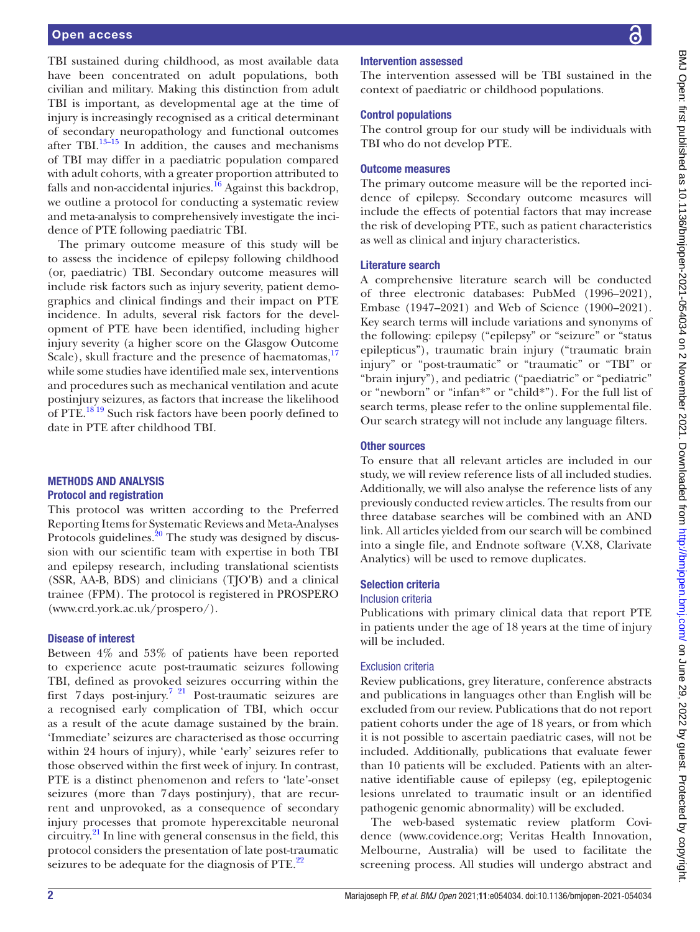#### Open access

TBI sustained during childhood, as most available data have been concentrated on adult populations, both civilian and military. Making this distinction from adult TBI is important, as developmental age at the time of injury is increasingly recognised as a critical determinant of secondary neuropathology and functional outcomes after TBI[.13–15](#page-3-6) In addition, the causes and mechanisms of TBI may differ in a paediatric population compared with adult cohorts, with a greater proportion attributed to falls and non-accidental injuries. $^{16}$  Against this backdrop, we outline a protocol for conducting a systematic review and meta-analysis to comprehensively investigate the incidence of PTE following paediatric TBI.

The primary outcome measure of this study will be to assess the incidence of epilepsy following childhood (or, paediatric) TBI. Secondary outcome measures will include risk factors such as injury severity, patient demographics and clinical findings and their impact on PTE incidence. In adults, several risk factors for the development of PTE have been identified, including higher injury severity (a higher score on the Glasgow Outcome Scale), skull fracture and the presence of haematomas,<sup>[17](#page-3-8)</sup> while some studies have identified male sex, interventions and procedures such as mechanical ventilation and acute postinjury seizures, as factors that increase the likelihood of PTE.<sup>18'19</sup> Such risk factors have been poorly defined to date in PTE after childhood TBI.

#### METHODS AND ANALYSIS Protocol and registration

This protocol was written according to the Preferred Reporting Items for Systematic Reviews and Meta-Analyses Protocols guidelines. $2^0$  The study was designed by discussion with our scientific team with expertise in both TBI and epilepsy research, including translational scientists (SSR, AA-B, BDS) and clinicians (TJO'B) and a clinical trainee (FPM). The protocol is registered in PROSPERO ([www.crd.york.ac.uk/prospero/\)](www.crd.york.ac.uk/prospero/).

#### Disease of interest

Between 4% and 53% of patients have been reported to experience acute post-traumatic seizures following TBI, defined as provoked seizures occurring within the first 7days post-injury.[7 21](#page-3-3) Post-traumatic seizures are a recognised early complication of TBI, which occur as a result of the acute damage sustained by the brain. 'Immediate' seizures are characterised as those occurring within 24 hours of injury), while 'early' seizures refer to those observed within the first week of injury. In contrast, PTE is a distinct phenomenon and refers to 'late'-onset seizures (more than 7days postinjury), that are recurrent and unprovoked, as a consequence of secondary injury processes that promote hyperexcitable neuronal circuitry. $^{21}$  In line with general consensus in the field, this protocol considers the presentation of late post-traumatic seizures to be adequate for the diagnosis of PTE.<sup>[22](#page-3-12)</sup>

## Intervention assessed

The intervention assessed will be TBI sustained in the context of paediatric or childhood populations.

#### Control populations

The control group for our study will be individuals with TBI who do not develop PTE.

#### Outcome measures

The primary outcome measure will be the reported incidence of epilepsy. Secondary outcome measures will include the effects of potential factors that may increase the risk of developing PTE, such as patient characteristics as well as clinical and injury characteristics.

#### Literature search

A comprehensive literature search will be conducted of three electronic databases: PubMed (1996–2021), Embase (1947–2021) and Web of Science (1900–2021). Key search terms will include variations and synonyms of the following: epilepsy ("epilepsy" or "seizure" or "status epilepticus"), traumatic brain injury ("traumatic brain injury" or "post-traumatic" or "traumatic" or "TBI" or "brain injury"), and pediatric ("paediatric" or "pediatric" or "newborn" or "infan\*" or "child\*"). For the full list of search terms, please refer to the [online supplemental file](https://dx.doi.org/10.1136/bmjopen-2021-054034). Our search strategy will not include any language filters.

#### Other sources

To ensure that all relevant articles are included in our study, we will review reference lists of all included studies. Additionally, we will also analyse the reference lists of any previously conducted review articles. The results from our three database searches will be combined with an AND link. All articles yielded from our search will be combined into a single file, and Endnote software (V.X8, Clarivate Analytics) will be used to remove duplicates.

## Selection criteria

#### Inclusion criteria

Publications with primary clinical data that report PTE in patients under the age of 18 years at the time of injury will be included.

#### Exclusion criteria

Review publications, grey literature, conference abstracts and publications in languages other than English will be excluded from our review. Publications that do not report patient cohorts under the age of 18 years, or from which it is not possible to ascertain paediatric cases, will not be included. Additionally, publications that evaluate fewer than 10 patients will be excluded. Patients with an alternative identifiable cause of epilepsy (eg, epileptogenic lesions unrelated to traumatic insult or an identified pathogenic genomic abnormality) will be excluded.

The web-based systematic review platform Covidence [\(www.covidence.org;](www.covidence.org) Veritas Health Innovation, Melbourne, Australia) will be used to facilitate the screening process. All studies will undergo abstract and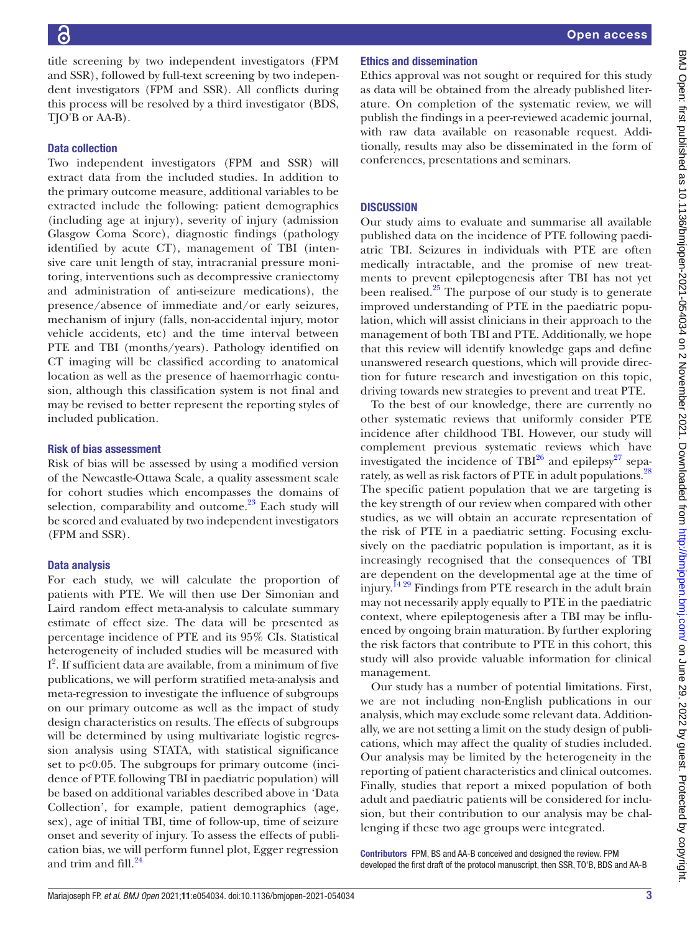title screening by two independent investigators (FPM and SSR), followed by full-text screening by two independent investigators (FPM and SSR). All conflicts during this process will be resolved by a third investigator (BDS, TJO'B or AA-B).

## Data collection

Two independent investigators (FPM and SSR) will extract data from the included studies. In addition to the primary outcome measure, additional variables to be extracted include the following: patient demographics (including age at injury), severity of injury (admission Glasgow Coma Score), diagnostic findings (pathology identified by acute CT), management of TBI (intensive care unit length of stay, intracranial pressure monitoring, interventions such as decompressive craniectomy and administration of anti-seizure medications), the presence/absence of immediate and/or early seizures, mechanism of injury (falls, non-accidental injury, motor vehicle accidents, etc) and the time interval between PTE and TBI (months/years). Pathology identified on CT imaging will be classified according to anatomical location as well as the presence of haemorrhagic contusion, although this classification system is not final and may be revised to better represent the reporting styles of included publication.

#### Risk of bias assessment

Risk of bias will be assessed by using a modified version of the Newcastle-Ottawa Scale*,* a quality assessment scale for cohort studies which encompasses the domains of selection, comparability and outcome. $^{23}$  Each study will be scored and evaluated by two independent investigators (FPM and SSR).

#### Data analysis

For each study, we will calculate the proportion of patients with PTE. We will then use Der Simonian and Laird random effect meta-analysis to calculate summary estimate of effect size. The data will be presented as percentage incidence of PTE and its 95% CIs. Statistical heterogeneity of included studies will be measured with I 2 . If sufficient data are available, from a minimum of five publications, we will perform stratified meta-analysis and meta-regression to investigate the influence of subgroups on our primary outcome as well as the impact of study design characteristics on results. The effects of subgroups will be determined by using multivariate logistic regression analysis using STATA, with statistical significance set to p<0.05. The subgroups for primary outcome (incidence of PTE following TBI in paediatric population) will be based on additional variables described above in 'Data Collection', for example, patient demographics (age, sex), age of initial TBI, time of follow-up, time of seizure onset and severity of injury. To assess the effects of publication bias, we will perform funnel plot, Egger regression and trim and fill. $^{24}$  $^{24}$  $^{24}$ 

## Ethics and dissemination

Ethics approval was not sought or required for this study as data will be obtained from the already published literature. On completion of the systematic review, we will publish the findings in a peer-reviewed academic journal, with raw data available on reasonable request. Additionally, results may also be disseminated in the form of conferences, presentations and seminars.

#### **DISCUSSION**

Our study aims to evaluate and summarise all available published data on the incidence of PTE following paediatric TBI. Seizures in individuals with PTE are often medically intractable, and the promise of new treatments to prevent epileptogenesis after TBI has not yet been realised. $25$  The purpose of our study is to generate improved understanding of PTE in the paediatric population, which will assist clinicians in their approach to the management of both TBI and PTE. Additionally, we hope that this review will identify knowledge gaps and define unanswered research questions, which will provide direction for future research and investigation on this topic, driving towards new strategies to prevent and treat PTE.

To the best of our knowledge, there are currently no other systematic reviews that uniformly consider PTE incidence after childhood TBI. However, our study will complement previous systematic reviews which have investigated the incidence of  $TBI^{26}$  $TBI^{26}$  $TBI^{26}$  and epilepsy<sup>27</sup> separately, as well as risk factors of PTE in adult populations.[28](#page-3-18) The specific patient population that we are targeting is the key strength of our review when compared with other studies, as we will obtain an accurate representation of the risk of PTE in a paediatric setting. Focusing exclusively on the paediatric population is important, as it is increasingly recognised that the consequences of TBI are dependent on the developmental age at the time of injury.[14 29](#page-3-19) Findings from PTE research in the adult brain may not necessarily apply equally to PTE in the paediatric context, where epileptogenesis after a TBI may be influenced by ongoing brain maturation. By further exploring the risk factors that contribute to PTE in this cohort, this study will also provide valuable information for clinical management.

Our study has a number of potential limitations. First, we are not including non-English publications in our analysis, which may exclude some relevant data. Additionally, we are not setting a limit on the study design of publications, which may affect the quality of studies included. Our analysis may be limited by the heterogeneity in the reporting of patient characteristics and clinical outcomes. Finally, studies that report a mixed population of both adult and paediatric patients will be considered for inclusion, but their contribution to our analysis may be challenging if these two age groups were integrated.

Contributors FPM, BS and AA-B conceived and designed the review. FPM developed the first draft of the protocol manuscript, then SSR, TO'B, BDS and AA-B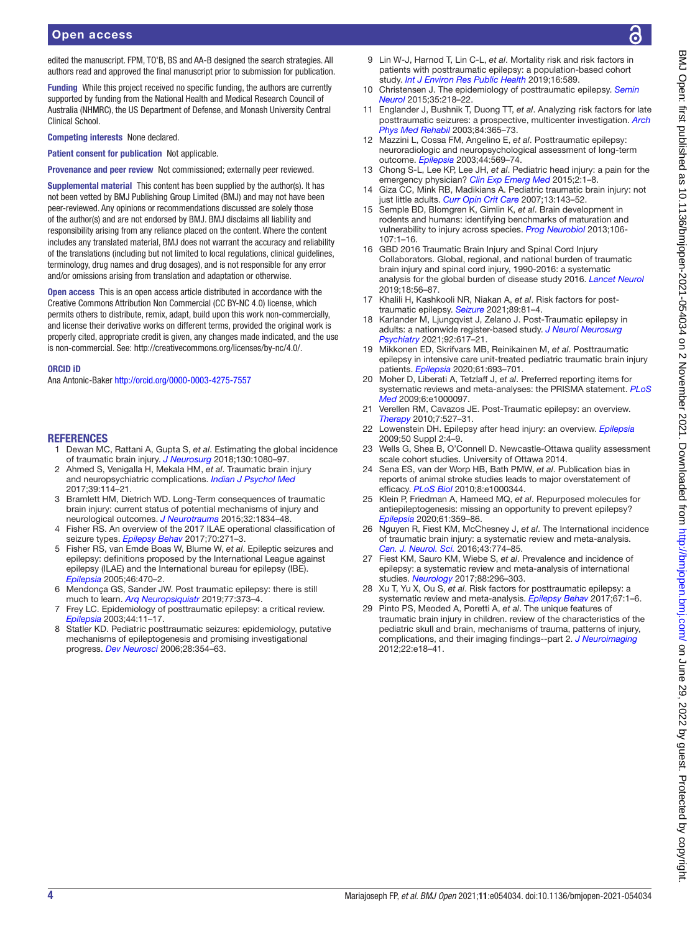edited the manuscript. FPM, TO'B, BS and AA-B designed the search strategies. All authors read and approved the final manuscript prior to submission for publication.

Funding While this project received no specific funding, the authors are currently supported by funding from the National Health and Medical Research Council of Australia (NHMRC), the US Department of Defense, and Monash University Central Clinical School.

Competing interests None declared.

Patient consent for publication Not applicable.

Provenance and peer review Not commissioned; externally peer reviewed.

Supplemental material This content has been supplied by the author(s). It has not been vetted by BMJ Publishing Group Limited (BMJ) and may not have been peer-reviewed. Any opinions or recommendations discussed are solely those of the author(s) and are not endorsed by BMJ. BMJ disclaims all liability and responsibility arising from any reliance placed on the content. Where the content includes any translated material, BMJ does not warrant the accuracy and reliability of the translations (including but not limited to local regulations, clinical guidelines, terminology, drug names and drug dosages), and is not responsible for any error and/or omissions arising from translation and adaptation or otherwise.

Open access This is an open access article distributed in accordance with the Creative Commons Attribution Non Commercial (CC BY-NC 4.0) license, which permits others to distribute, remix, adapt, build upon this work non-commercially, and license their derivative works on different terms, provided the original work is properly cited, appropriate credit is given, any changes made indicated, and the use is non-commercial. See: [http://creativecommons.org/licenses/by-nc/4.0/.](http://creativecommons.org/licenses/by-nc/4.0/)

#### ORCID iD

Ana Antonic-Baker <http://orcid.org/0000-0003-4275-7557>

#### **REFERENCES**

- <span id="page-3-0"></span>1 Dewan MC, Rattani A, Gupta S, *et al*. Estimating the global incidence of traumatic brain injury. *[J Neurosurg](http://dx.doi.org/10.3171/2017.10.JNS17352)* 2018;130:1080–97.
- <span id="page-3-1"></span>2 Ahmed S, Venigalla H, Mekala HM, *et al*. Traumatic brain injury and neuropsychiatric complications. *[Indian J Psychol Med](http://dx.doi.org/10.4103/0253-7176.203129)* 2017;39:114–21.
- 3 Bramlett HM, Dietrich WD. Long-Term consequences of traumatic brain injury: current status of potential mechanisms of injury and neurological outcomes. *[J Neurotrauma](http://dx.doi.org/10.1089/neu.2014.3352)* 2015;32:1834–48.
- <span id="page-3-2"></span>4 Fisher RS. An overview of the 2017 ILAE operational classification of seizure types. *[Epilepsy Behav](http://dx.doi.org/10.1016/j.yebeh.2017.03.022)* 2017;70:271–3.
- 5 Fisher RS, van Emde Boas W, Blume W, *et al*. Epileptic seizures and epilepsy: definitions proposed by the International League against epilepsy (ILAE) and the International bureau for epilepsy (IBE). *[Epilepsia](http://dx.doi.org/10.1111/j.0013-9580.2005.66104.x)* 2005;46:470–2.
- 6 Mendonça GS, Sander JW. Post traumatic epilepsy: there is still much to learn. *[Arq Neuropsiquiatr](http://dx.doi.org/10.1590/0004-282x20190068)* 2019;77:373–4.
- <span id="page-3-3"></span>7 Frey LC. Epidemiology of posttraumatic epilepsy: a critical review. *[Epilepsia](http://dx.doi.org/10.1046/j.1528-1157.44.s10.4.x)* 2003;44:11–17.
- 8 Statler KD. Pediatric posttraumatic seizures: epidemiology, putative mechanisms of epileptogenesis and promising investigational progress. *[Dev Neurosci](http://dx.doi.org/10.1159/000094162)* 2006;28:354–63.
- <span id="page-3-4"></span>9 Lin W-J, Harnod T, Lin C-L, *et al*. Mortality risk and risk factors in patients with posttraumatic epilepsy: a population-based cohort study. *[Int J Environ Res Public Health](http://dx.doi.org/10.3390/ijerph16040589)* 2019;16:589.
- <span id="page-3-5"></span>10 Christensen J. The epidemiology of posttraumatic epilepsy. *[Semin](http://dx.doi.org/10.1055/s-0035-1552923)  [Neurol](http://dx.doi.org/10.1055/s-0035-1552923)* 2015;35:218–22.
- 11 Englander J, Bushnik T, Duong TT, *et al*. Analyzing risk factors for late posttraumatic seizures: a prospective, multicenter investigation. *[Arch](http://dx.doi.org/10.1053/apmr.2003.50022)  [Phys Med Rehabil](http://dx.doi.org/10.1053/apmr.2003.50022)* 2003;84:365–73.
- 12 Mazzini L, Cossa FM, Angelino E, *et al*. Posttraumatic epilepsy: neuroradiologic and neuropsychological assessment of long-term outcome. *[Epilepsia](http://dx.doi.org/10.1046/j.1528-1157.2003.34902.x)* 2003;44:569–74.
- <span id="page-3-6"></span>13 Chong S-L, Lee KP, Lee JH, *et al*. Pediatric head injury: a pain for the emergency physician? *[Clin Exp Emerg Med](http://dx.doi.org/10.15441/ceem.14.055)* 2015;2:1–8.
- <span id="page-3-19"></span>14 Giza CC, Mink RB, Madikians A. Pediatric traumatic brain injury: not just little adults. *[Curr Opin Crit Care](http://dx.doi.org/10.1097/MCC.0b013e32808255dc)* 2007;13:143–52.
- 15 Semple BD, Blomgren K, Gimlin K, *et al*. Brain development in rodents and humans: identifying benchmarks of maturation and vulnerability to injury across species. *[Prog Neurobiol](http://dx.doi.org/10.1016/j.pneurobio.2013.04.001)* 2013;106- 107:1–16.
- <span id="page-3-7"></span>16 GBD 2016 Traumatic Brain Injury and Spinal Cord Injury Collaborators. Global, regional, and national burden of traumatic brain injury and spinal cord injury, 1990-2016: a systematic analysis for the global burden of disease study 2016. *[Lancet Neurol](http://dx.doi.org/10.1016/S1474-4422(18)30415-0)* 2019;18:56–87.
- <span id="page-3-8"></span>17 Khalili H, Kashkooli NR, Niakan A, *et al*. Risk factors for posttraumatic epilepsy. *[Seizure](http://dx.doi.org/10.1016/j.seizure.2021.05.004)* 2021;89:81–4.
- <span id="page-3-9"></span>18 Karlander M, Ljungqvist J, Zelano J. Post-Traumatic epilepsy in adults: a nationwide register-based study. *[J Neurol Neurosurg](http://dx.doi.org/10.1136/jnnp-2020-325382)  [Psychiatry](http://dx.doi.org/10.1136/jnnp-2020-325382)* 2021;92:617–21.
- 19 Mikkonen ED, Skrifvars MB, Reinikainen M, *et al*. Posttraumatic epilepsy in intensive care unit-treated pediatric traumatic brain injury patients. *[Epilepsia](http://dx.doi.org/10.1111/epi.16483)* 2020;61:693–701.
- <span id="page-3-10"></span>20 Moher D, Liberati A, Tetzlaff J, *et al*. Preferred reporting items for systematic reviews and meta-analyses: the PRISMA statement. *[PLoS](http://dx.doi.org/10.1371/journal.pmed.1000097)  [Med](http://dx.doi.org/10.1371/journal.pmed.1000097)* 2009;6:e1000097.
- <span id="page-3-11"></span>21 Verellen RM, Cavazos JE. Post-Traumatic epilepsy: an overview. *[Therapy](http://dx.doi.org/10.2217/thy.10.57)* 2010;7:527–31.
- <span id="page-3-12"></span>22 Lowenstein DH. Epilepsy after head injury: an overview. *[Epilepsia](http://dx.doi.org/10.1111/j.1528-1167.2008.02004.x)* 2009;50 Suppl 2:4–9.
- <span id="page-3-13"></span>23 Wells G, Shea B, O'Connell D. Newcastle-Ottawa quality assessment scale cohort studies. University of Ottawa 2014.
- <span id="page-3-14"></span>24 Sena ES, van der Worp HB, Bath PMW, *et al*. Publication bias in reports of animal stroke studies leads to major overstatement of efficacy. *[PLoS Biol](http://dx.doi.org/10.1371/journal.pbio.1000344)* 2010;8:e1000344.
- <span id="page-3-15"></span>25 Klein P, Friedman A, Hameed MQ, *et al*. Repurposed molecules for antiepileptogenesis: missing an opportunity to prevent epilepsy? *[Epilepsia](http://dx.doi.org/10.1111/epi.16450)* 2020;61:359–86.
- <span id="page-3-16"></span>26 Nguyen R, Fiest KM, McChesney J, *et al*. The International incidence of traumatic brain injury: a systematic review and meta-analysis. *[Can. J. Neurol. Sci.](http://dx.doi.org/10.1017/cjn.2016.290)* 2016;43:774–85.
- <span id="page-3-17"></span>27 Fiest KM, Sauro KM, Wiebe S, *et al*. Prevalence and incidence of epilepsy: a systematic review and meta-analysis of international studies. *[Neurology](http://dx.doi.org/10.1212/WNL.0000000000003509)* 2017;88:296–303.
- <span id="page-3-18"></span>Xu T, Yu X, Ou S, et al. Risk factors for posttraumatic epilepsy: a systematic review and meta-analysis. *[Epilepsy Behav](http://dx.doi.org/10.1016/j.yebeh.2016.10.026)* 2017;67:1–6.
- 29 Pinto PS, Meoded A, Poretti A, *et al*. The unique features of traumatic brain injury in children. review of the characteristics of the pediatric skull and brain, mechanisms of trauma, patterns of injury, complications, and their imaging findings--part 2. *[J Neuroimaging](http://dx.doi.org/10.1111/j.1552-6569.2011.00690.x)* 2012;22:e18–41.